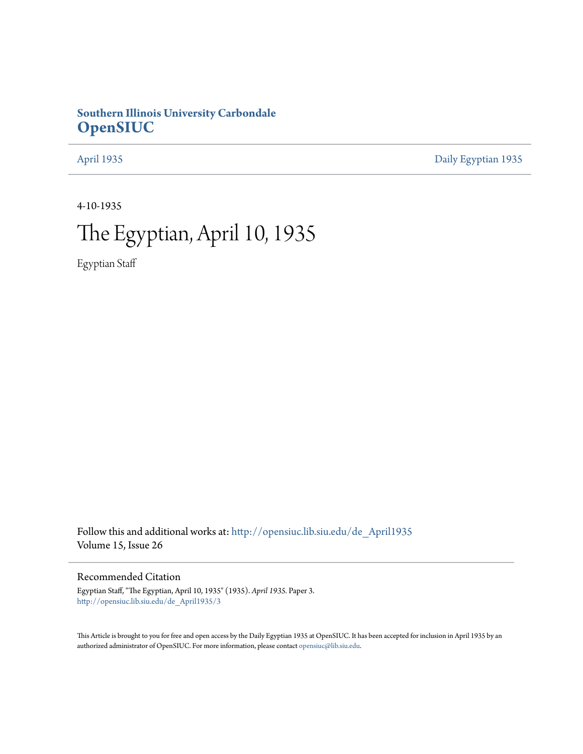## **Southern Illinois University Carbondale [OpenSIUC](http://opensiuc.lib.siu.edu?utm_source=opensiuc.lib.siu.edu%2Fde_April1935%2F3&utm_medium=PDF&utm_campaign=PDFCoverPages)**

[April 1935](http://opensiuc.lib.siu.edu/de_April1935?utm_source=opensiuc.lib.siu.edu%2Fde_April1935%2F3&utm_medium=PDF&utm_campaign=PDFCoverPages) [Daily Egyptian 1935](http://opensiuc.lib.siu.edu/de_1935?utm_source=opensiuc.lib.siu.edu%2Fde_April1935%2F3&utm_medium=PDF&utm_campaign=PDFCoverPages)

4-10-1935

# The Egyptian, April 10, 1935

Egyptian Staff

Follow this and additional works at: [http://opensiuc.lib.siu.edu/de\\_April1935](http://opensiuc.lib.siu.edu/de_April1935?utm_source=opensiuc.lib.siu.edu%2Fde_April1935%2F3&utm_medium=PDF&utm_campaign=PDFCoverPages) Volume 15, Issue 26

## Recommended Citation

Egyptian Staff, "The Egyptian, April 10, 1935" (1935). *April 1935.* Paper 3. [http://opensiuc.lib.siu.edu/de\\_April1935/3](http://opensiuc.lib.siu.edu/de_April1935/3?utm_source=opensiuc.lib.siu.edu%2Fde_April1935%2F3&utm_medium=PDF&utm_campaign=PDFCoverPages)

This Article is brought to you for free and open access by the Daily Egyptian 1935 at OpenSIUC. It has been accepted for inclusion in April 1935 by an authorized administrator of OpenSIUC. For more information, please contact [opensiuc@lib.siu.edu](mailto:opensiuc@lib.siu.edu).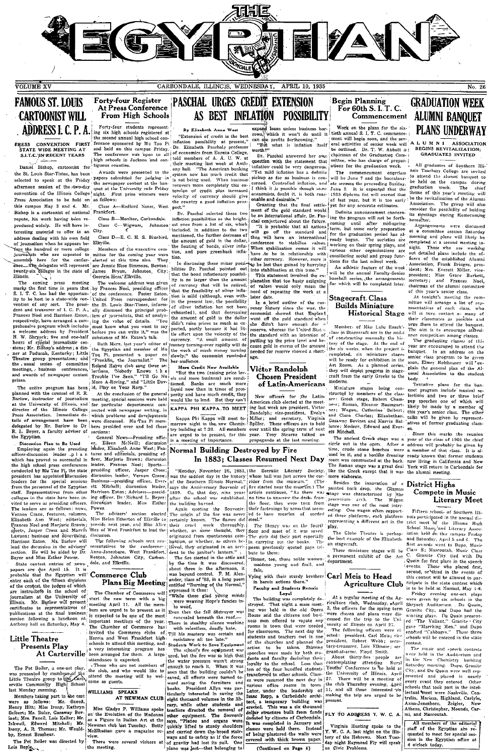

PASCHAL URGES CREDIT EXTENSION

## **FAMOUS ST. LOUIS CARTOONIST WILL** ADDRESS L.C. P.A.

**ERESS CONVENTION FIRST**<br>STATE WIDE MEETING AT **S.I.T.C. IN RECENT YEARS** 

Daniel Bishon, cartoonist for Daniel Bishop, cartonist for 'uspons countest.<br>The St. Louis Star-Times, has been a Awards were presented to the<br>selected to speak at the Friday 'papers submitted for judging in<br>selected to speak at the Friday 'the newspap this campus May 3 and 4. Mr. Class A—Redbird Notes, West pect-<br>Bishop is a cartoonist of national Frankfort. repute, his work having been reproduced widely. He will have interesting material to offer in an City. teresting material to other in a wave<br>determined considered and the solution of picturalism when he appears be-<br>Elkyilly the hundred or more college. Memorialism who are expected to mittee<br>sessenthy here for the construct Illinois.

ng press meeting<br>ng press meeting

The entire program has been<br>planned with the counsel of R. R. planned with the column of the  $K$ . At the conclusion of the general Barlow, instructor of journalism meeting, special sessions were held at the University of Illinois, and 'for particular departments condited with the Hi the Egyptian.

Discussion Plan to Be Used Discussion Plan to Be Used<br>
Discussion leader ..p 1 a n<br>
which has proved so successful in<br>
which has proved so successful in<br>
the high school press conferences<br>
conducted by Mu Tau Pi, the state<br>
president has appointed pressioner and appointed this<br>cussion from the percial sessions from the personnel of the Egyptian<br>staff. Representatives from other colleges in the state have been in-<br>vited to serve as pressiding officers.<br>The leaders a Elizabeth Apn West: editorials. Enzabeth Abn West; equorials,<br>Frances Noel and Marjoric Brown;<br>sports, Jasper Cross and Marvin<br>Lawson; business and advert@sing,<br>Harrison Eaton. Mr. Barlow will lead the dscussion in the advisers' section. He will be aided by Dr. Bover and Miss Esther Power

Beyer and Muss Estater rower.<br>
State contest entries of news-date, and Elkville.<br>
spapers are due April 15. It is<br>
probable that the Egyptian will Commerce Club probable that the Egyptian will enter the enterpretent of the fifteen divisions of the contest, the judges of which are instructively in the school of properties. Mr. Barbor of Illinois. Mr. Barbor will present nimous. mi. Digitow with presentatives of<br>publications at the final business<br>session following a luncheon at<br>Anthony hall on Saturday, May 4.

### Little Theatre Presents Play At Carterville

attendance is expected. These interests in the page of the sected was presented by members of the cub, and who we not members of was presented by members of the cub, and who would like to Little Theatre group to let  $\mathcal{L$ 

nast monday morning.<br>
Members taking part in the cast<br>
were as follows: Mr. Sneed,<br>
Henry Hitt; Miss Irony, Kathryn Neibert; Mr. Ruler, Gasaway Bov-<br>Snet; Mrs. Pancil, Lois Keller; Mr.<br>Inkwell, Edward Mitchell; Mr. Inkweli, Edward Mitchell; Mr.<br>Irony, A. R. Thomas; Mr. Would-<br>by, Ernest Brashear.

The Pot Boiler was directed by Lois Boyle

At Press Conference From High Schools

**Forty-four Register** 

 $\begin{minipage}{0.9\textwidth} \begin{tabular}{l} \textbf{Forty-four students represented at}\\ \textbf{in second annual high school con-1} \\ \textbf{fexence proposed by Mu Tau Pi} \\ \textbf{and held on this campus Friday}\\ \textbf{The conferenew axis open to all}\\ \textbf{The conferenew axis open to all}\\ \textbf{The second tree was open to all}\\ \end{tabular}$ tiguous counties.

Class B-Monitor, Carbondale. Class  $C \rightarrow Wigwam$ , Johnston

Flirville.

Members of the executive committee for the coming year were<br>elected at this time also. They are Jennie Rose Simmons, Benton; are Jennie Rose Simpi<br>James Bryan, John<br>Georgia Hess, Elkville. Johnston, City;

sections:<br>
Ceneral News-Presiding offici-<br>
er. Eileen McNeill; discussion<br>
leader, Elizabeth Anne West; Fea-<br>
tures and editorials, presiding of<br>
ficer, Marjorie Brown; discussion<br>
ficer, Marjorie Brown; discussion The control of the control of the control of the control of the control of the control of the control of the control of the control of the control of the control of the control of the control of the control of the control

Benton, Johnston City, Carbon

# **Plans Big Meeting**

The Chamber of Commerce will<br>start the new term with a big<br>meeting April 11. All the mem-<br>bers are urged to be present as it bers are urged to be present as it Even then the fell destroyer was<br>is expected to be one of the meat  $\sim$  concerned beneath the roof.<br>important meetings of the year. There in stealthy silence working<br>The Chamber of Comme

Miss Gladys P. Williams spoke<br>on the Evolution of the Madonna<br>as a Figure in Italian Art at the Newman club last Tuesday, Betty McElhattan gave a magazine ro There were several visitors at the meeting.

AS BEST INFLATION POSSIBILITY

By Elizabeth Anne West "Extension of credit is the best Extension of create is the best<br>inflation possibility at present,"<br>Dr. Elizabeth Paschal.4 professor of economics from Euroka College i of economics from Eureka College,<br>told members of A. A. U. W. at<br>their meeting last week at Anth-<br>ony hall. "The American banking<br>system now has much credit that<br>is not being used. When business is not being used. Vietnames the covers more completely this extension of credit plus increased<br>velocity of currency should give the country a good inflation pros-

....<br>De Rooshal asloeted these two Dr. raschal selected these two<br>inflation possibilities as the bright<br>est ones from a list of six, which included, in addition to the two Class D-E. C. H. S. Bluebird, mentioned, the further decrease of mentioned, the further decrease of<br>the amount of gold in the dollar,<br>the fioating of bonds, silver infla-<br>tion, and pure greenback inflation.

In discussing these minor possi-<br>bilities Dr. Paschal pointed out<br>that the bond inflationary possibility is no larger than the amount

perity and have much credit, they would like to lend. But they can't

Normal Building Destroyed by Fire

shares neighborhood Elixulie to [certainly known. The flames did steel."<br>
preside next year, and Miss Alice [their crucl] work throughly, [ The [livrary was on the fourt]<br>
Hey of West Frankfort to lead the [whether, as so

dent to the jamior's lantern."<br>
The first started in the catterinal polyton the time is valid to the<br>
Denti by the time it was discovered, it was beyond control. F. M. Alexander,<br>
and and result of the started in the star

Herrin and West Frankfort high resistance all too late."<br>
is chools to attend this metching, and Students Work to Save Equipment was<br>
a very interesting program has The school's fire equipment was<br>
been arranged for them. seem unt the burning countries and all efforts were turned to-<br>ward saving the furniture and<br>books. President Allyn was parbooks. President Allyn was particularly interested in saving the eight thousand volumes in the library, while other students and teachers directed the removal of ent. The Souvenir teachers directed the removal or<br>says, "Pishos and organs were quickly lifted to sturdy shoulders<br>and organs were quickly lifted to sturdy shoulders<br>and carried down the broad stair-<br>ways and to safety as if the force<br>of g niano was lost-that belonging to

expand loans unless business bor-<br>rows, which it won't do until it<br>can see profits forthcoming."<br>"But what is inflation itself

worth<sup>97</sup> ...<br>.. Paschal answered her ∷ Dr. Paschal answered her own<br>question with the statement that<br>inflation could be very dangerous.

onable and desirable."<br>Granting that the final settle-<br>ment of the gold standard would

The stabilization at this time." An athletic feature of the week<br>
This stabilization at this time." An athletic feature of the week<br>
This istement involved the ex-will be the annual Faculty-Senior<br>
planation that too hasty putting up the price level and be-<br>cause gold in excess of the amount needed for reserve showed a short-

### Victor Randolph **Chosen President** of Latin-Americans

New officers for the Latinperty and nave much credit, they cofficer<br>is for the Latin-<br>would like to bend. But they can't a merican club elected at the meet-<br> $\mathbf{KAPPA}$  PIH  $\mathbf{KAPPA}$ , TO MEET ing last week are president. Victor<br> $\mathbf{Kappa}$  Phi  $\mathbf$ 

maidens young and frail, and<br>fair.

(Continued on Page 4)

# **Begin Planning** For  $60th S. I. T. C$

Work on the plans for the six-<br>tieth annual S. I. T. C. commence-<br>ment will begin soon, and the sev-<br>eral activities of senior week will<br>be outlined. Dr. T. W. Abbott is: ۱Ā chairman of the Graduation Comchairman of the Graduation Committee, who has charge of preparations for the graduation week.

inflation could be very dangerous, a Woons for the graduation west.<br>
"Yet mild inflation has a definite  $\beta$  The commencement exercises<br>
pickup as far as business is con-<br>
| will be June 7 and the bencalaur-<br>
cerned. Cont

be an intermedical affair, Dr. Pasi-ing the pergeam will contribute and conjectured about the future coming until after mid-spring. Will go off the standard and for the graduation period has a life of the standard and for Definite announcement concern-

of constructing manually the his-<br>tory of the stage. At the end of<br>the six weeks, when the project is<br>completed, six minitare stages<br>will be ready for exhibition in the<br>kill be ready for exhibition in the<br>Art Room. As a pl moderns

Miniature stages being lance; Modern, Edward and Everett Mitchell

The ancient Greek stage was a The antent triers stage was a year or the class or<br>inferior circle out in the open. After a address will probable<br>time, crude stone benches were a member of that quest<br>on it, and a boxide dressing ready known that it of<br>tr

more elaborate. Besides the innovation of a<br>painted back drop, the German<br>stage was characterized by the procenium arch. The  $W_{\#}$  stage was one of the most in  $W_{\text{aqcor}}$ stage was one of the most inter-<br>esting. One wagon often support-<br>ed three platforms, each platform<br>representing a different act in the

play. The Globe Theatre is perhaps<br>the best example of the Elizabeth-<br>an stagecraft.

These miniature stages will be<br>permanent exhibit of the Art a permanen<br>department.

# **Agriculture Club**

contest

It was completed in January and Virginia Hueting spoke to the classes were held there. Instead Y. W. C. A. last night on the His- of being plastered die walls were tory of the Hebrews. Next Tueon Civic Problems.

## **GRADUATION WEEK** Commencement ALUMNI BANOUET **PLANS UNDERWAY**

 $\overline{\overset{\sim}{\mathbf{N}\circ}$ . 26

L U M N 1 ASSOCIATION<br>BEGINS REVITALIZATION;<br>GRADUATES INVITED

All graduates of Southern Illi. All graduates of Southern Illi-<br>nois Teachers College are invited<br>to attend the alumni banquet to<br>be held on the campus during<br>graduation week. The chief graduation week. The chief theme of this year's meeting will be the revitalization of the Alumni<br>be the revitalization of the Alumni<br>Association. The group will also<br>consider the possibility of holding<br>its meetings during

Arguments were discussed<br>at a committee session Saturday<br>morning and plans will likely be<br>completed at a second meeting tonight. Those who are working arous one or equations are out detailed plans include the or-<br>considering social and group funce. facers of the established Alumni<br>for the last school week. Association, Frank Bridges, president and group of the week-, de

resentatives of each class, who will in turn contact as many of their class<br>mates as possible and use use the algorithm of their class<br>mates as possible and the banquet.<br>The aim is to encourage attendance competition anong

The graduating classes of this The graduating classes of this<br>year are encouraged to attend the banquet. In an address on the<br>senior class program to be given<br>soon, Elmey Holsbouser will 'ex-<br>plain the general plan of the Al-<br>unni Association to the stu **hody** 

body.<br>
Tentative plans for the ban-<br>
Tentative plans for the ban-<br>
lections and two or three brief<br>
pep speeches one of which will<br>
likely be made by a member of Munitaire stuges being con- que program include musical se-<br>structed by members of the class- hectoins and two or three brief<br>next Check stage, Robert Cham- pep speeches one of which will<br>next- Greek stage, Robert Cham- pe atives of former graduating class

.<br>Since this marks the reunion since this inarist the reunion<br>year of the class of 1905 the chief<br>address will probably be given by<br>a member of that class. It is already known that former students now living in California and New

### of a District Highs Compete in Music **Literary Meet**

Fifteen schools of Southern Illi-Fifters rehood of Southern III;<br>
Fifters rehood in the annual di-<br>
nois participated in the annual dis-<br>
school Music/and Litterary Assoc<br>
into held of this campus Friday<br>
and Saturday, April 5 and 6. The<br>
first awards we this contest will be allowed to expose win to answer to participate in the state contest which<br>is to be held at Normal, May 1-6.<br>Friday evening one-act plays<br>were given by six schools in the Shrvock Auditorium.  $Dv$  Quain Strycock Auditorium. Du Quoin, and Dippo had the<br>
Winning plays. Du Quoin present-<br>
Winning plays. Du Quoin present-<br>
|ed "The Valiatt," Granite - City<br>
|gave "Marching Men," and Dupo<br>
|enadted "Cabbages." These three schools will be entered in the state

contest.<br>The music and speech contests<br>were held in the Auditorium and<br>in the New Chemistry building<br>Saturday morning. Dupo, Granite<br>Saturday morning. Dupo, Granite<br>Presented and placed in nearly<br>every event they entered. lectual meet were Nashville, Centralia, Marissa, Highland, Carlyle Anna-Jonesboro Zeigler. Athens, Christopher, Mounds, Car<br>mi, and Mascoutah.

All members of the editorial All members of the editorial<br>staff of the Egyptian are re-<br>quested to meet for special ses-<br>sion in the Egyptian office at<br>4 o'clock today.

"Honor, too, those noble women-Fair,<br>
Ving with their sturdy brothers **Carl Meis to Head**<br>
in heroic actions there."<br> **A** griculture C Faculty and Students Ren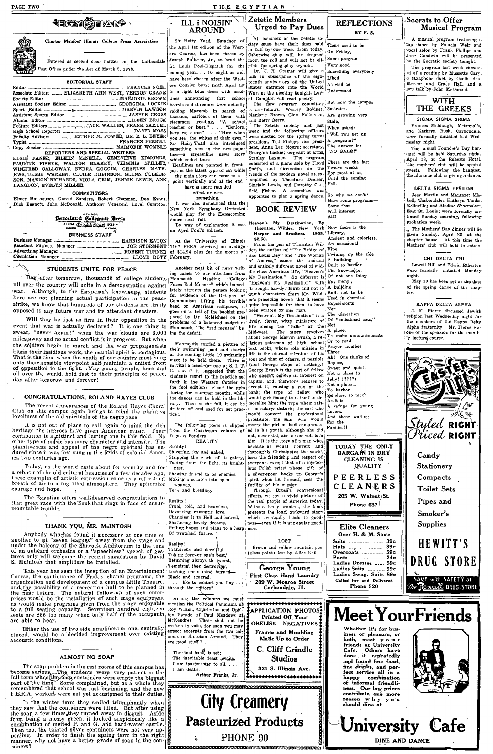PAGE TWO

**tecy Sears** 

Charter Member Illinois College Press Association

Entered as second class matter in the Carbondale ost Office under the Act of March 3, 1879.

### **EDITORIAL STAFF**

| Associate Editors  ELIZABETH ANN WEST, VERNON CRANI |  |  |  |  |  |
|-----------------------------------------------------|--|--|--|--|--|
|                                                     |  |  |  |  |  |
|                                                     |  |  |  |  |  |
|                                                     |  |  |  |  |  |
|                                                     |  |  |  |  |  |
|                                                     |  |  |  |  |  |
|                                                     |  |  |  |  |  |
|                                                     |  |  |  |  |  |
|                                                     |  |  |  |  |  |
|                                                     |  |  |  |  |  |
|                                                     |  |  |  |  |  |
|                                                     |  |  |  |  |  |

REPORTERS AND SPECIAL WRITERS PRODUCTS. ELEMENT PRODUCTS AND SPECIES WANTERLOW WINTERS MATHEM WINTERS MATHEM WINTER CALLOWAY, NEEDRA GOGGIU, CHARLES MATHEM FOR STATES MATHEM SON, MARION RICHARDS, VIOLA CRIM, JENNIE LEWIS, LANGDON, EVELYN MILLER,

COMPETITORS<br>Elmer Holshouser, Garold Sanders, Robert Chapman, Don Evans,<br>Dick Baggott, John McDonald, Anthony Venegoni, Loyal Compton.

# Associated Collegiate Press

| シークロッション コンハナト |  |  |  |  |  |
|----------------|--|--|--|--|--|
|                |  |  |  |  |  |
|                |  |  |  |  |  |
|                |  |  |  |  |  |
|                |  |  |  |  |  |

It is not out of place to call again to mind the rich<br>heritage the negroes have given American music. Their continuition is a distinct and lasting one in this field. No<br>continuition is a distinct and lasting one in this fi ica two centuries ago.

Today, as the world casts about for security, and for<br>a rebirt of the old cultural beauties of a few decades ago,<br>these examples of artistic expression come as a refreshing<br>breath of air to a fog-filled atmosphere. They ep courage and hope.  $\mathcal{R}^{\mathcal{A}}$ 

The Egyptian offers well)deserved congratulations to<br>that great race with the SouMthat sings in face of unsur-<br>mountable trouble.

### THANK YOU, MR. McINTOSH

Anybody who has found it necessary at one time or<br>another to sit "seven leagues" away from the stage and<br>under the balcony of the Shyock Auditorium to the tune<br>under the balcony of the Shyock Auditorium to the tune<br>tures

S. Methosh that amplifiers be installed.<br>This year has seen the inception of an Entertainment<br>Course, the continuance of Friday chapel programs, the<br>organization and development of a campus Little Theatre,<br>and the pair an

Either the use of two side amplifiers or one, centrally placed, would be a decided improvement over existing accoustic conditions.

### ALMOST NO SOAP

The soap problem in the rest rooms of this campus has<br>become serious. The students were very patient in the<br>fall term when<br>the time school of the time of the time of the time of the time. Some complained, but as a whole th

Therman were not yet accusume to uner uncess.<br>In the winter term they smiled triumphandly when<br>they saw that the containers were filled. But after using<br>the soap a few times they unred away in diagost. Aside<br>from being a m

ILL i NOISIN' **AROUND** Sir Hairy Toad, Eatadoor of the April 1st edition of the Western Courier, has been chosen by Joseph Pulitzer. Jr. to head the Joseph Pulitzer, Jr., to head the from the roll and will not be eli-<br>St. Louis Post-Dispath for the gible for spring plant rrows.<br>Coming year... Or might as well  $\Box$  F. C. H. Cramer will give a<br>have been chosen after the boards and directors were actually  $\begin{bmatrix} 1 & \text{in} & \text{in} & \text{in} \\ \text{raiding} & \text{Maccomb} & \text{in} & \text{self} \end{bmatrix}$  the acterns, carloads of them with Marjorie Brown, streamers reading. "A school and Betty Berry.<br>teacher or bust," ... "Seni line-a streamline<br>which ended thus:

which ended thus:<br>Headlines are pointed in front<br>Just as the latest type of car while<br>the main story can come to a<br>point vertically and at the end<br>have a more rounded<br>effect or else.<br>somewhive

effect or eise.<br>
something.<br>
New York Symphony Orchestra<br>
New York Symphony Orchestra<br>
would play for the Homecoming<br>
dance next fall.<br>
By way of explanation it was<br>
an April Fool's Edition.

4. The University of Illinois (1986).<br>
1167 FERA received an average experience of Theorem STAR received an average of 314.94 plus for the month of the Helian Chapter of The Endeaper of Star Louis Rey" and "The Woman of An

Reamy:<br>Shivering, icy and naked,<br>Stripping the world of its galety,<br>Taking from the light, its bright-

ness, Showing friend to be enemies

Making a scratch into open<br>wounds,<br>Torn and bleeding,

Reality! eold, and heartless. Cruel. Cruel, cold, and heartless,<br>Devouring romantic love,<br>Changing it to Hell and hatred,<br>Shattering lovely dreams,<br>Pulling hopes and plans to a heap<br>Of wretched future.

Reality!<br>
Traitorous and decoirful,<br>
Taking forever one's best,<br>
Temping always the worst,<br>
Temping, then destroying.<br>
Lenving, one's mind burned—<br>
Black and scarred.<br>
... the to contact you Gay<br>
... the contact you Gay<br>
.

through the editors?

Among the columns we must<br>nention the Political Panorama of mention the Political Panorama offsical<br>Roy Wilson, Charleston and Opin-<br>ion Parade of Paul Meadows at<br>McKendree. These shall not be<br>written in vain, for soon you may<br>expect excerpts from the two columns in Illinoisin Around.  $T<sub>het</sub>$ are good stuff!!

The final table is set; The inevitable feast awaits.<br>I am toastmaster to all.... I am death. Arthur Franks, Jr.

**BEREADARA BERTA** 

ï

All members of the Zetetic society must have their dues paid<br>in full by one weak from today.<br>In full by the depend<br>oftenwise they will be dropped<br>from the rolt and will not be eli-

Zetetic Members

THE EGYPTIAN

and Betty Berry. met laatt were elected for the solution were leaded for the spin of the spin star and the following term is president, Anna Lee Morer; scentery, several dent, and the spin since the spin since the spin si appointed to plan a spring dance.

## **BOOK REVIEW**

eg in his youtu, although she due<br>not have will hove the lower of the history of a man who,<br>because he would convert and<br>theoremore and the story of a man who,<br>because the friendabile and respect of<br>loss the friendabile an

nove

LOST Brown and yellow fountain per<br>(glass point) lost by Alice Kell.

George Young First Class Hand Laundry

**APPLICATION PHOTOS** Printed Off Your Frames and Moulding<br>Made Up to Order

**Studios** 

**City Creamery Pasteurized Products** 

PHONE 90

### **REFLECTIONS** BY F. S.

Very good Something everybody Liked As well as

Understood But now the campus Societies.

Are growing very Stale.

When asked: "Will you get up  $A program?"$ <br>The answer is: NO SALE!"

These are the last These are the rail<br>Twelve weeks<br>For most of us,<br>Until the coming

So why we can't Have some programs<br>Some that Will interest

ÄII Heaven's My Destination, By The Contract of the Harper and Brothers. 1935. [Mbrary, 1976] Ancient and colories<br>An occasional<br>Time<br>Twining up the side<br>A building.<br>Built to harbor



### Over H. & M. Store  $... 39c$ Suits ................ ..<br>Hats 30. . . . . . . . . . . . . .

Ladies Suits<br>Ladies Swag. Suits 89c<br>Called for and Delivered<br>Phone 520

Whether it's for bus-

fine drinks, and per-<br>fect service all in a

University Cafe

DINE AND DANCE

A musical program featuring a<br>tap dance by Palucia Weir and<br>vocal solos by Frank Phillips and<br>Jane Goodwin will be presented<br>by the Socratic society tonight. The program last week consisted of a reading by Mussette Cary,<br>ed of a reading by Mussette Cary,<br>a saxaphone duct by Ozello Schamisseur and Grace Hall, and a<br>misseur and Grace Hall, and a

Musical Program

Socrats to Offer



Frances Middaugh, Metropolis, and Kathryn Rush, Carbondale, were formally initiated last Wednesday night.

mesony mgn.<br>The annual Founder's Day ban-<br>quet will be held Saturday night,<br>April 13, at the Roberts Hotel.<br>The mothers' club will be special<br>guests. Following the banquet, the alumnae club is giving a dance

### DELTA SIGMA EPSILON

Jean Martin and Margaret Mis-<br>kell, Carbondale; Kathryn Tunks. ville: and Aledine Shoemaker Senevine; and Ateune Shoen<br>East St. Leuis; were formall<br>tiated Sunday morning, foll<br>probation week.

The Mothers' Day dinner will be<br>given Sunday, April 28, at the<br>chapter house. At this time the<br>Mothers' club will hold initiation.

### CHI DELTA CHI

Lowell Hill and Edwin Etherton were formally initiated Monday nicht.

May 10 has been set as the date<br>f the spring dance of the chap ter.

### KAPPA DELTA ALPHA

ARTH DELIA ALTHA<br>
1. M. Pierce discussed Jewish<br>
1. M. Pierce discussed Jewish<br>
1. Highs fracterity. Mr. Pierce was<br>
1. Alpha fracterity. Mr. Pierce was<br>
1. One of the speakers for the month-<br>
1. Declare course.





209 W. Monroe Street<br>Carbondale, Ill.

C. Cliff Grindle

321 S. Illinois Ave. ,,,,,,,,,,,,,,,,,,,,,



# **Urged to Pay Dues**

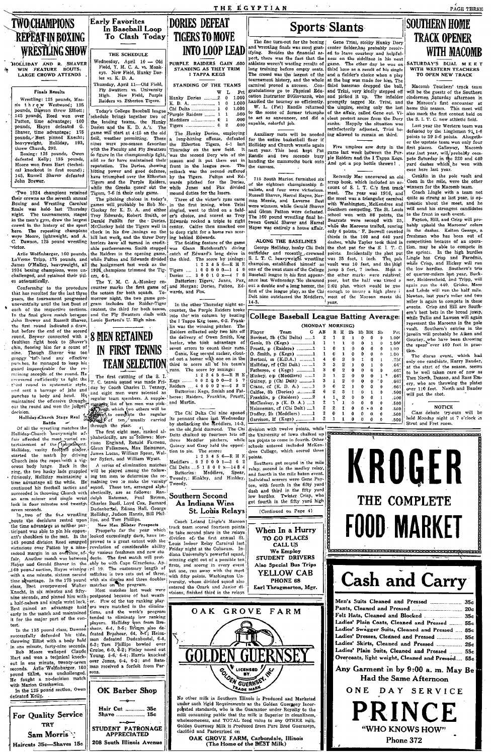THE EGYPTIAN

## **Sports Slants**

The fine turn-out for the boxing and wrestling finals was most gratisty<br>ing. Besides the funancial as-<br>pect, there was the fact that the athletes weren't wasting results of<br>the long training before menty seats.<br>Ong trainin

715 South Marion furnished six of the eighteen championship finalists, and four were victorious.<br>Russell Shaver, Harrel Hayes, Nor-Russell Shaver, Harrel Hayes, Nor-<br>man Massie, and Laverne Best<br>were winners, while Gerald Shaver<br>and Glenn Patton were defeated.<br>The 160 pund wrestling final be-<br>tween Gerald Shaver and Harrel

The 160 pound wrestling final be-simon word with the Morona circles. The points of the main of the main of the main of the main of the state of the state of the state of the state of the state of the state of the state of

College Baseball League Batting Averages  $[10pt] \begin{tabular}{|c|c|} \hline & & (MONOND) \\ \hline \hline \hline & 1 & 0 \\ \hline \hline & 1 & 0 \\ \hline & 2 & 0 \\ \hline & 3 & 0 \\ \hline & 4 & 0 \\ \hline & 5 & 0 \\ \hline & 6 & 0 \\ \hline & 7 & 0 \\ \hline & 8 & 0 \\ \hline & 9 & 0 \\ \hline & 1 & 0 \\ \hline & 1 & 0 \\ \hline & 1 & 0 \\ \hline & 1 & 0 \\ \hline & 1 & 0 \\ \hline & 1 & 0 \\ \hline & 1 & 0 \\ \hline & 1 & 0 \\ \hline$ (MONDAY MORNING)  $\frac{AB}{2}$ E

Gene Trini, stocky Hunky Dory<br>center fielder, has probably resolved to leave courtesy and helpful-<br>ness on the sidelines in his next<br>game. The other day he was on third base as a result of his single and a felder's choice when a and a fielder's choice when a play<br>at the bag was made for him. The<br>third baseman dropped the ball,<br>and Trini, very kindly stepped off<br>and priced it up. The infielder<br>promptly tagged Mr. Trini, and state proced in the matter promptly tagged Mr. Trini, and promptly tagged Mr. Trini, and the simple the state of the simple promptly the state of the streame. View transhes apply the state state state state state state sta

Five umpires saw duty in the sive umpires saw duty in the<br>game last week between the Pur-<br>ple Raiders and the I Tappa Kegs.<br>And not a pop bottle thrown!

Recently Mac uncovered an old Recently Mac uncovered an oldinary measure of 8. L. T. C.'s first transitional measure of 8. L. T. C.'s first transition with the meat was a triangular cannot with Washington, McKendree and Southern computing. The St. Loui

 $\frac{1.00}{1.006}$ 

 $1.00$ 

 $\frac{1}{100}$ 

66  $.66'$ .<br>BR  $-66'$ 

Ladies' Plain Coats, Cleaned and Pressed

Ladies' Swagger Suits, Cleaned and Pressed ....

Ladies' Dresses, Cleaned and Pressed ...............

Overcoats, light weight, Cleaned and Pressed.

Ladies' Skirts, Cleaned and Pressed ................ 25c Ladies' Plain Suits, Cleaned and Pressed

Any Garment in by 9:00 a.m. May Be

Had the Same Afternoon

ONE DAY SERVICE

PRINCE

"WHO KNOWS HOW"

Phone 372

**SOUTHERN HOME TRACK OPENER** WITH MACOMB

PAGE THREE

**ATURDAY'S DUAL MEET**<br>WITH WESTERN TEACHERS<br>TO OPEN NEW TRACK

Macomb Teachers' track team<br>will be the guests of the Southern win be the guests of the Southern<br>cindermen Saturday afternoon in<br>the Maroon's first encounter at<br>home this season. This meet will the Matron's first encounter at home this season. This meet will<br>also mark the first contest held on<br>the S. I. T. C. new athletic field.

Les U. 1. 1. C. new admedictment.<br>Last year the Western team was<br>defeated by the Linglemen 91 1-6<br>points to 39 5-6 points. Altogeth-<br>er the upstate team won only four er the upstate team won only four the<br>first places. Galloway, Macomb<br>star last year, will probably compete Saturday in the 220 and 440<br>yere Saturday in the 220 and 440<br>yard dashes which he won with<br>ease here last year.

ease nere last year.<br>Conklin in the pole vault and<br>Coon in the mile, were the other<br>winners for the Macomb team.

Com in the mile, were the other communistance of the strong is strong as last year, is optical and the time<br>is strong a last year, is optically discuss the strong term is<br>determined time to the strong term of time strong represent the Maroons in the pe Routhern's entries in the  $\sim$ vault. Southern's entries in the javelin will probably be Aiken and Gouriey, who have been throwing the spear over 160 feet in prac-

tice.<br>The disrus event, which had<br>All Marry Bauder, only one candidate, Harry Bauder, at the start of the season, seems<br>to be well taken care of now as<br>Tom North, Deason, and Russ Em-<br>ery, who are throwing the plates<br> $\exp$ , who are throwing the plates<br>over 110 feet. North an

## **NOTICE** NOTICE<br>Class debate try-outs will be<br>held Monday night at 7 o'clock in<br>Strut and Fret room.

35.

 $20<sub>c</sub>$ 

35c

**55c** 

**85c** 

556

 $55c$ 

554



### **Early Favorites DORIES DEFEAT** In Baseball Loop To Clash Today

THE SCHEDULE Wednesday, April 10 - Old<br>Field, Y. M. C. A. vs. Monk-<br>eys. New Field, Hunky Dor-New Fierd,<br>vs. K. D. A. 

**TWO CHAMPIONS** 

**REPEAT IN BOXING** 

HOLLIDAY AND R. SHAVER<br>WIN FEATURE BOUTS;

LARGE CROWD ATTENDS

Finals Results

Wrestling: 125 pounds, Mas<br>threw Westwood: 138

Wrestling: 125 pounds, Massie the re we Westwood; 136 pounds, Naspurdise pounds, Reed won over Biloti; 145 pounds, Hayes defeated G. Barrell, Parton, time advantage; 160 blancer, time advantage; 157 pounds, Asset provider

.<br>Two 1934 champions retained Two 1934 champions retained their crowns as the seventh annual Boxing and Wrestling Carnival finale was held last Thursday night. The tournaments, staged in the meaning for the sport of the sport crowd in the history of t

moves in the history of the sport<br>here. The repeating champions were Moore, lightweight, and A.<br>C. Dawson, 125 pound wrestling<br>victor.

Arlie Wolfinbarger, 160 pounds,<br>LaVerne Tripp, 175 pounds, and<br>James O'Malley, heavyweight, all 1934 boxing champions, challenged, and retained their titl-

Conforming to the procedure<br>that has resulted for the last three that has resulted for the last three<br>years, the tournament progressed<br>uneventfully until the last bout of<br>each of the respective sections.<br>In the final glove match between<br>John Brewer and Russell Shaver,

the first round indicated a dray

seconds. Aris wommunger, root pound titlist, was unchallenged.<br>He fought a no-decision match with Marion Graskewicz.

For Quality Service **TRY** 

Sam Morris

Haircuts 35c-Shaves 15c

defeated Kelly.

ith Marion Graskewicz.<br>In the 125 pound section, Owen

es automatically.

145, Russell<br>John Brewer.

**WRESTLING SHOW** 

Today's College Baseball league<br>
schedule brings together two of<br>
the leading teams, the Hunky<br>
Dories and the K. D. A.'s. The<br>
game will start at 4:15 on the old  $5 - 14$ 

While the Greense poset out the present of The priching choice in today's carrier grames will probishly be Bob Mc-<br>Clookey for K. D. A. and either present of the price of the proof of The Present of the present of the McC ers. 4-1.

ers, 4-1.<br>The Y. M. C. A.-Monkey encounter marks the first game of<br>the season for both squads. Tothe season for both squares. To-<br>morrow night, the two game program includes the Raider-Tiger<br>contest, the third for both teams,<br>and the Fly Swatters clash with<br>Louie Bertoni's U. High nine.

In the first round indicated a draw<br>
The measure of the perform of the perform of the form internal finance,<br>
the better the end of the second  $\sim$ <br>
but before the end of the second<br>
but before the end of the second<br>
faul

Finiminon or an energy diversification, Max Heinzon, Max Heinzon, Max Heinzon, Max Heinzon, Max Heinzon, Max Heinzon and the match is a series of elimination matched the match in the assumed of the spectra of the state in



**TIGERS TO MOVE INTO LOOP LEAD** 

PURPLE RAIDERS GAIN .500<br>STANDING AS THEY TRIM<br>I TAPPA KEGS

|    | STANDING OF THE TEAMS<br> - |        |  |
|----|-----------------------------|--------|--|
| ⅎ∤ |                             | W L Pc |  |
|    | Hunky Dories 2 0 1.00       |        |  |
|    |                             |        |  |
|    |                             |        |  |
|    |                             |        |  |
|    |                             |        |  |
|    |                             |        |  |

some will start at 4:15 on the old The Hunky Dories, employing game will start at 4:15 on the old The Elunky Dories, enploying belief, weather permitting. These a long-hitting offense, 4-1 last health with the Faculty and with the Faculty and Fly Swatters Thursday on the new field. It is and so far the championship fight, was the second Dory win of the and so far have maintained their resson and it put them out implements represent and goo

mound duties for the losers.<br>Three of the victor's runs came<br>in the first inning, when Trini<br>singled, went to third on a field-<br>er's choice, and scored as Troy

supper normal started as Troy<br>grad started as Troy Edwards rocked as triple to right for a home run score<br>center. Califes then smacked one is the folding feature of the game<br>was Glenn Hutcheraft's diving the final The fol Ratteries: Tigers, Jones, Pax. patteries: 11gers, Jones, 122,<br>and Morgan; Dories, Fulton, Edwards, and Fox.

In the other Thursday night encounter, the Purple Raiders broke with into the 'Win column by beating life.<br>The the 1 Tappa Keg team, 6-2. Frank-<br>the 1 Tappa Keg team, 6-2. Frank-<br>life this winning pitcher. The life Raider seved cross to count their runs.<br>  $\frac{1}{2}$  can be computed and their runs.<br>
the contracted by the contraction of the contract of the case of points.<br>
The score all bot is team's contract the contract runs. The score by i

Raiders, Franklin, Pruett, heree. and Martin

The Chi Delta Chi nine opened<br>its pennant chase last Wednesday<br>by shellacking the Meddlers, 14-3,<br>on the old field diamond. The Chi on the old field diamond. The Chi<br>
on the old field diamond. The Chi<br>
blets chalked up fourteen hits off three<br>
Meddler pitchers, while<br>
Guiney and Gray held the opposition<br>
to is. The score:<br>  $12$  3 4 5 6—R H E<br>
Meddlers

Tweedy.

### Southern Second St. Louis Relays

Coach Leland Lingle's Marcon Coach Leland Lingle's Maroon<br>track team scored fourtien points<br>to take second place in the relays<br>division of the first annual St.<br>Louis Indoor Relay Carnival last<br>Friday night at the Coliseum. In-<br>diana University's powe olana University's powerful squad,<br>
winning eight out of a possible ten<br>
firsts, and scorng in every event but one, ran away with the meet<br>
with fifty points, Washington University, whose divided squad also<br>
ientered the O



No other milk in Southern Illinois is Produced and Marketed<br>under such rigid Requirements as the Golden Gueragey Incor-<br>polited standards, who is the Guarnator under Royalty to the<br>milk consuming public that the milk is S

OAK GROVE FARM, Carbondale, Illinois<br>(The Home of the BEST Milk)

The crowd was the largest of the conductor to the conduction space of the carried procedure and conduction g to the production rest of the handled the fourier of the handled the fourier of the scene of former the conducti

Auxiliary mats will be needed<br>for the entire basketball floor if<br>Holliday and Church wrestle again<br>next vear. This bout kept Pat nomuay and Church wrestle again<br>next year. This bout kept Pat<br>Randle and two seconds busy<br>handing the mammoths back onto